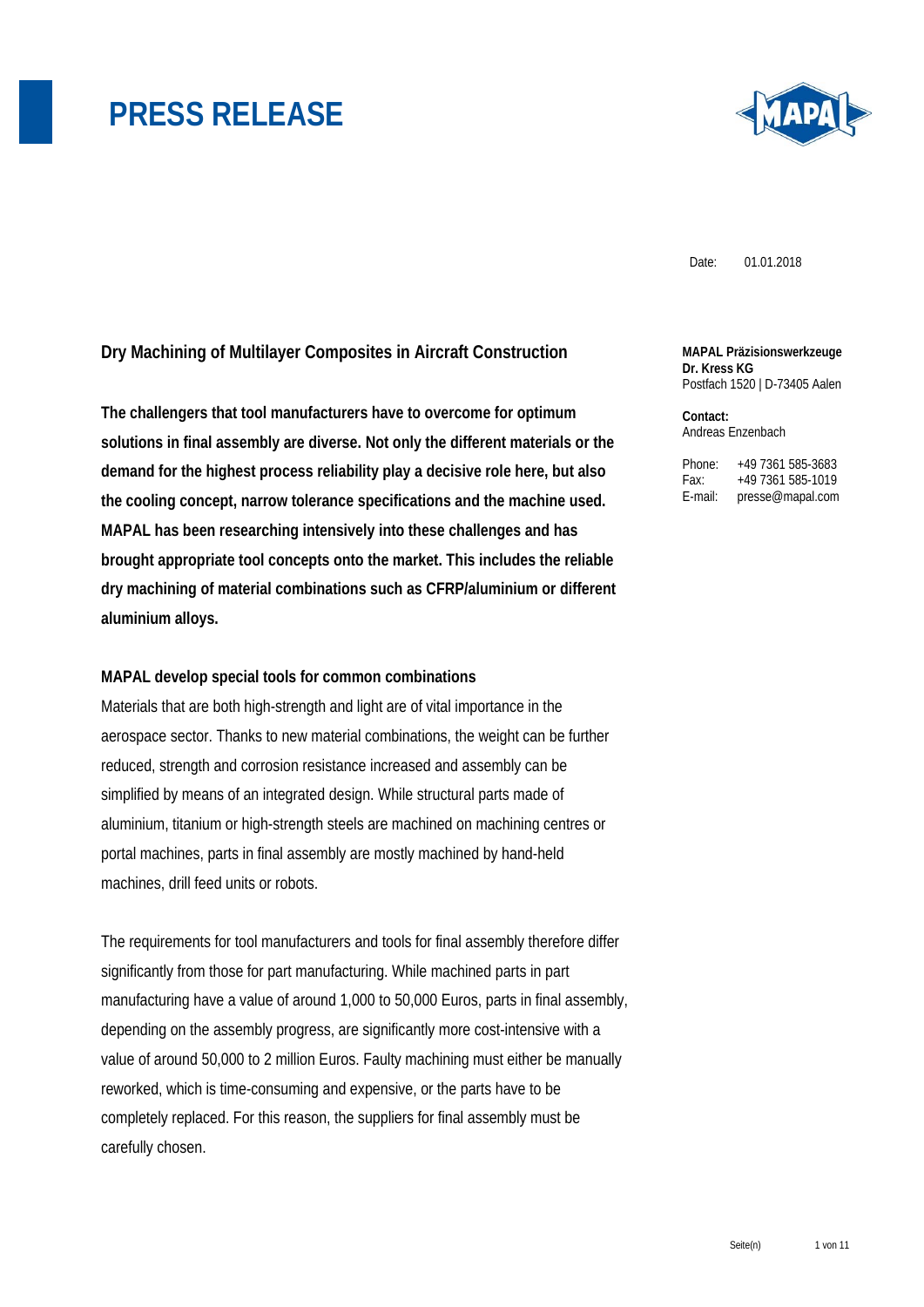

Date: 01.01.2018

### **Dry Machining of Multilayer Composites in Aircraft Construction**

**The challengers that tool manufacturers have to overcome for optimum solutions in final assembly are diverse. Not only the different materials or the demand for the highest process reliability play a decisive role here, but also the cooling concept, narrow tolerance specifications and the machine used. MAPAL has been researching intensively into these challenges and has brought appropriate tool concepts onto the market. This includes the reliable dry machining of material combinations such as CFRP/aluminium or different aluminium alloys.** 

#### **MAPAL develop special tools for common combinations**

Materials that are both high-strength and light are of vital importance in the aerospace sector. Thanks to new material combinations, the weight can be further reduced, strength and corrosion resistance increased and assembly can be simplified by means of an integrated design. While structural parts made of aluminium, titanium or high-strength steels are machined on machining centres or portal machines, parts in final assembly are mostly machined by hand-held machines, drill feed units or robots.

The requirements for tool manufacturers and tools for final assembly therefore differ significantly from those for part manufacturing. While machined parts in part manufacturing have a value of around 1,000 to 50,000 Euros, parts in final assembly, depending on the assembly progress, are significantly more cost-intensive with a value of around 50,000 to 2 million Euros. Faulty machining must either be manually reworked, which is time-consuming and expensive, or the parts have to be completely replaced. For this reason, the suppliers for final assembly must be carefully chosen.

#### **MAPAL Präzisionswerkzeuge Dr. Kress KG**  Postfach 1520 | D-73405 Aalen

**Contact:**  Andreas Enzenbach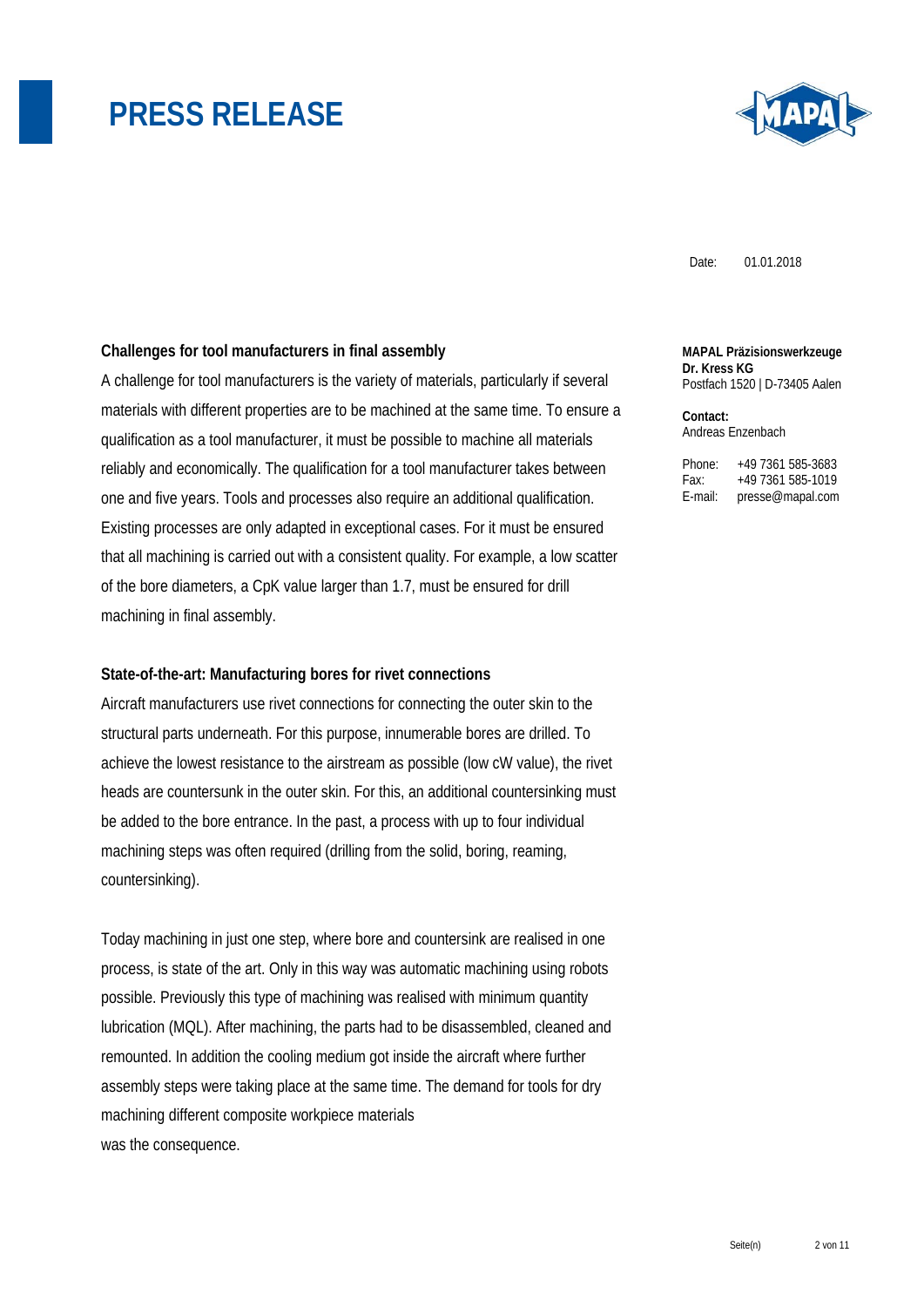

Date: 01.01.2018

#### **Challenges for tool manufacturers in final assembly**

A challenge for tool manufacturers is the variety of materials, particularly if several materials with different properties are to be machined at the same time. To ensure a qualification as a tool manufacturer, it must be possible to machine all materials reliably and economically. The qualification for a tool manufacturer takes between one and five years. Tools and processes also require an additional qualification. Existing processes are only adapted in exceptional cases. For it must be ensured that all machining is carried out with a consistent quality. For example, a low scatter of the bore diameters, a CpK value larger than 1.7, must be ensured for drill machining in final assembly.

#### **State-of-the-art: Manufacturing bores for rivet connections**

Aircraft manufacturers use rivet connections for connecting the outer skin to the structural parts underneath. For this purpose, innumerable bores are drilled. To achieve the lowest resistance to the airstream as possible (low cW value), the rivet heads are countersunk in the outer skin. For this, an additional countersinking must be added to the bore entrance. In the past, a process with up to four individual machining steps was often required (drilling from the solid, boring, reaming, countersinking).

Today machining in just one step, where bore and countersink are realised in one process, is state of the art. Only in this way was automatic machining using robots possible. Previously this type of machining was realised with minimum quantity lubrication (MQL). After machining, the parts had to be disassembled, cleaned and remounted. In addition the cooling medium got inside the aircraft where further assembly steps were taking place at the same time. The demand for tools for dry machining different composite workpiece materials was the consequence.

#### **MAPAL Präzisionswerkzeuge Dr. Kress KG**  Postfach 1520 | D-73405 Aalen

**Contact:**  Andreas Enzenbach

| Phone:  | +49 7361 585-3683 |
|---------|-------------------|
| Fax:    | +49 7361 585-1019 |
| E-mail: | presse@mapal.com  |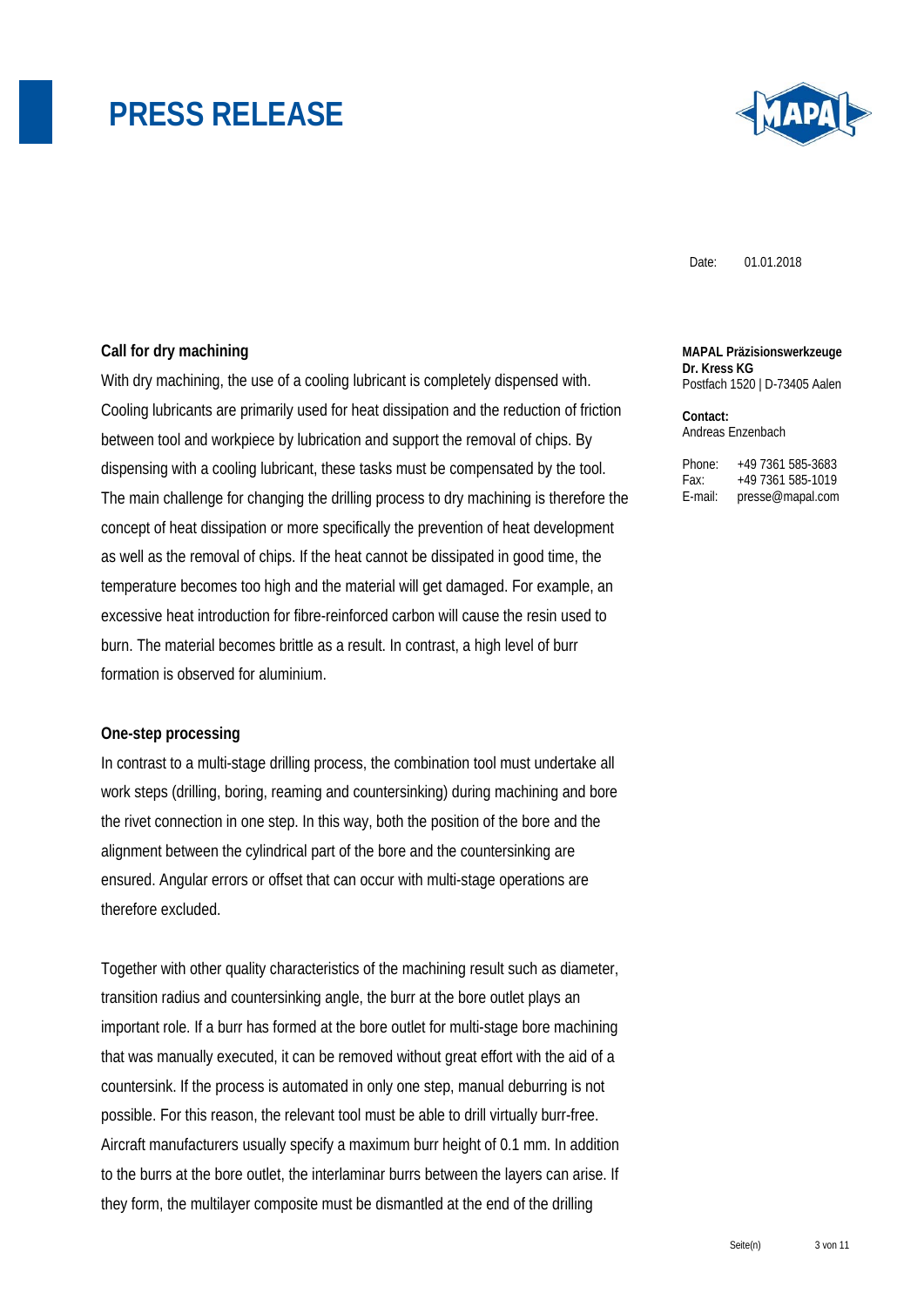

Date: 01.01.2018

### **Call for dry machining**

With dry machining, the use of a cooling lubricant is completely dispensed with. Cooling lubricants are primarily used for heat dissipation and the reduction of friction between tool and workpiece by lubrication and support the removal of chips. By dispensing with a cooling lubricant, these tasks must be compensated by the tool. The main challenge for changing the drilling process to dry machining is therefore the concept of heat dissipation or more specifically the prevention of heat development as well as the removal of chips. If the heat cannot be dissipated in good time, the temperature becomes too high and the material will get damaged. For example, an excessive heat introduction for fibre-reinforced carbon will cause the resin used to burn. The material becomes brittle as a result. In contrast, a high level of burr formation is observed for aluminium.

#### **One-step processing**

In contrast to a multi-stage drilling process, the combination tool must undertake all work steps (drilling, boring, reaming and countersinking) during machining and bore the rivet connection in one step. In this way, both the position of the bore and the alignment between the cylindrical part of the bore and the countersinking are ensured. Angular errors or offset that can occur with multi-stage operations are therefore excluded.

Together with other quality characteristics of the machining result such as diameter, transition radius and countersinking angle, the burr at the bore outlet plays an important role. If a burr has formed at the bore outlet for multi-stage bore machining that was manually executed, it can be removed without great effort with the aid of a countersink. If the process is automated in only one step, manual deburring is not possible. For this reason, the relevant tool must be able to drill virtually burr-free. Aircraft manufacturers usually specify a maximum burr height of 0.1 mm. In addition to the burrs at the bore outlet, the interlaminar burrs between the layers can arise. If they form, the multilayer composite must be dismantled at the end of the drilling

#### **MAPAL Präzisionswerkzeuge Dr. Kress KG**  Postfach 1520 | D-73405 Aalen

**Contact:**  Andreas Enzenbach

Phone: +49 7361 585-3683

Fax: +49 7361 585-1019 E-mail: presse@mapal.com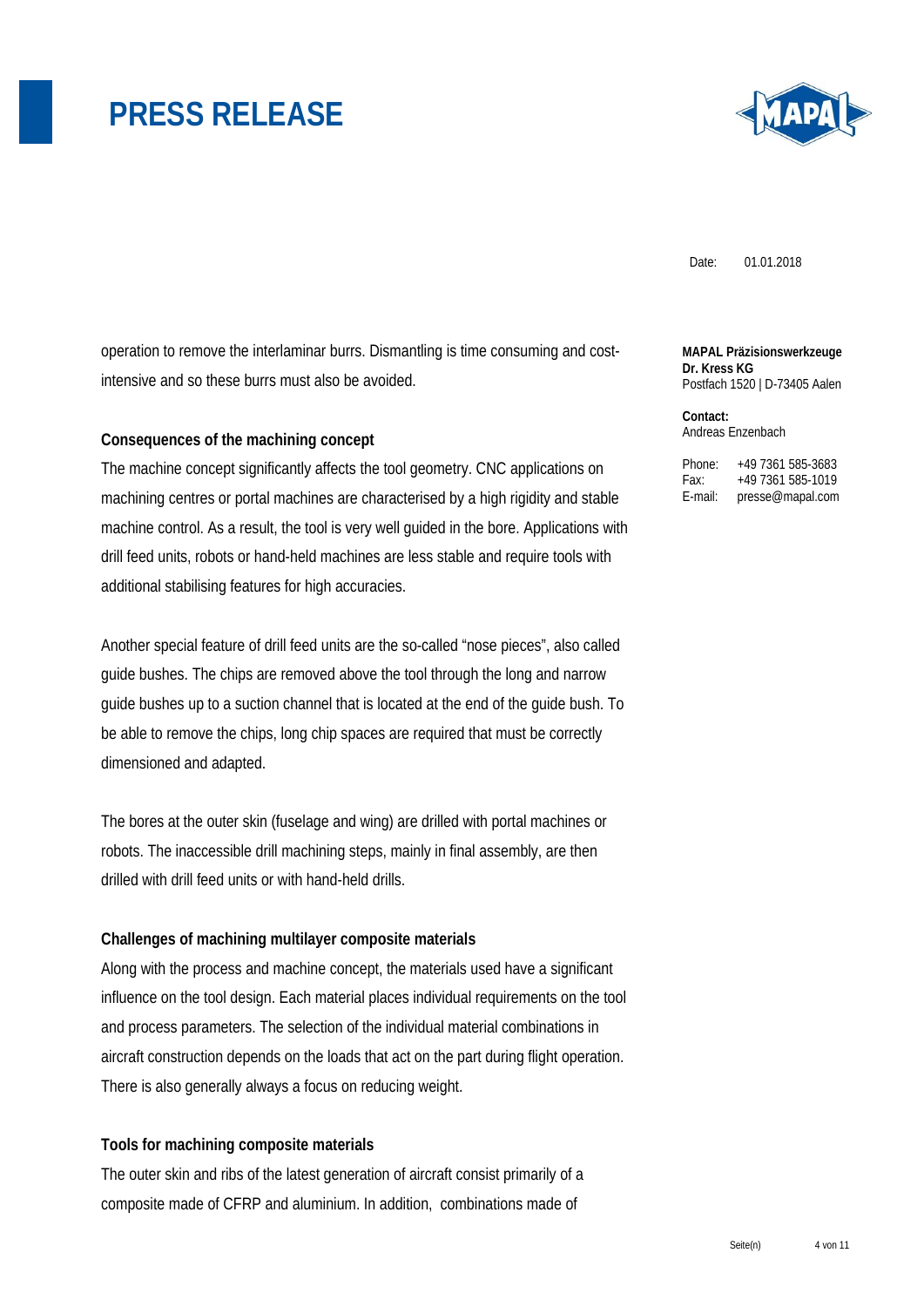

Date: 01.01.2018

operation to remove the interlaminar burrs. Dismantling is time consuming and costintensive and so these burrs must also be avoided.

#### **Consequences of the machining concept**

The machine concept significantly affects the tool geometry. CNC applications on machining centres or portal machines are characterised by a high rigidity and stable machine control. As a result, the tool is very well guided in the bore. Applications with drill feed units, robots or hand-held machines are less stable and require tools with additional stabilising features for high accuracies.

Another special feature of drill feed units are the so-called "nose pieces", also called guide bushes. The chips are removed above the tool through the long and narrow guide bushes up to a suction channel that is located at the end of the guide bush. To be able to remove the chips, long chip spaces are required that must be correctly dimensioned and adapted.

The bores at the outer skin (fuselage and wing) are drilled with portal machines or robots. The inaccessible drill machining steps, mainly in final assembly, are then drilled with drill feed units or with hand-held drills.

### **Challenges of machining multilayer composite materials**

Along with the process and machine concept, the materials used have a significant influence on the tool design. Each material places individual requirements on the tool and process parameters. The selection of the individual material combinations in aircraft construction depends on the loads that act on the part during flight operation. There is also generally always a focus on reducing weight.

### **Tools for machining composite materials**

The outer skin and ribs of the latest generation of aircraft consist primarily of a composite made of CFRP and aluminium. In addition, combinations made of

**MAPAL Präzisionswerkzeuge Dr. Kress KG**  Postfach 1520 | D-73405 Aalen

**Contact:**  Andreas Enzenbach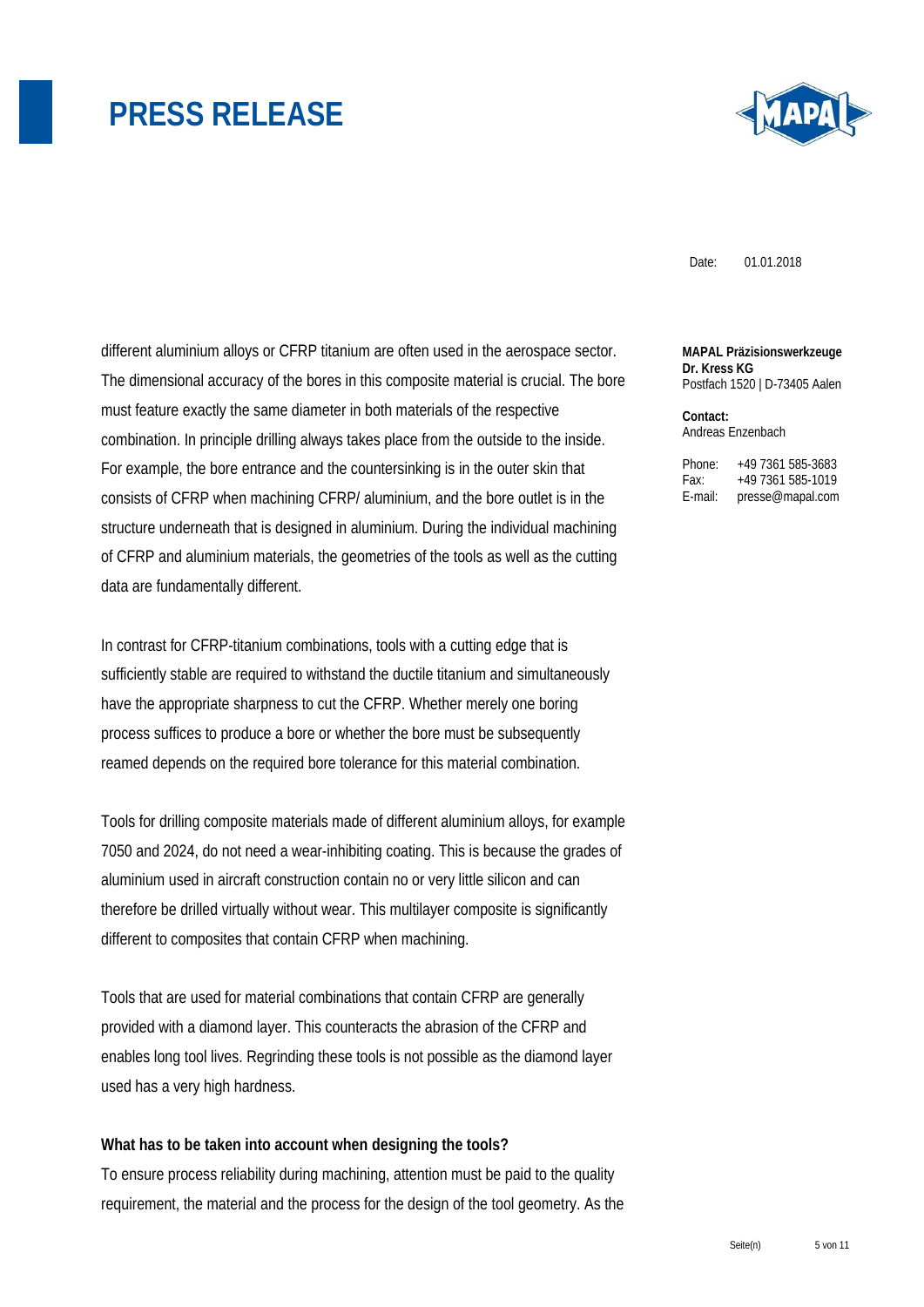

Date: 01.01.2018

different aluminium alloys or CFRP titanium are often used in the aerospace sector. The dimensional accuracy of the bores in this composite material is crucial. The bore must feature exactly the same diameter in both materials of the respective combination. In principle drilling always takes place from the outside to the inside. For example, the bore entrance and the countersinking is in the outer skin that consists of CFRP when machining CFRP/ aluminium, and the bore outlet is in the structure underneath that is designed in aluminium. During the individual machining of CFRP and aluminium materials, the geometries of the tools as well as the cutting data are fundamentally different.

In contrast for CFRP-titanium combinations, tools with a cutting edge that is sufficiently stable are required to withstand the ductile titanium and simultaneously have the appropriate sharpness to cut the CFRP. Whether merely one boring process suffices to produce a bore or whether the bore must be subsequently reamed depends on the required bore tolerance for this material combination.

Tools for drilling composite materials made of different aluminium alloys, for example 7050 and 2024, do not need a wear-inhibiting coating. This is because the grades of aluminium used in aircraft construction contain no or very little silicon and can therefore be drilled virtually without wear. This multilayer composite is significantly different to composites that contain CFRP when machining.

Tools that are used for material combinations that contain CFRP are generally provided with a diamond layer. This counteracts the abrasion of the CFRP and enables long tool lives. Regrinding these tools is not possible as the diamond layer used has a very high hardness.

#### **What has to be taken into account when designing the tools?**

To ensure process reliability during machining, attention must be paid to the quality requirement, the material and the process for the design of the tool geometry. As the **MAPAL Präzisionswerkzeuge Dr. Kress KG**  Postfach 1520 | D-73405 Aalen

**Contact:**  Andreas Enzenbach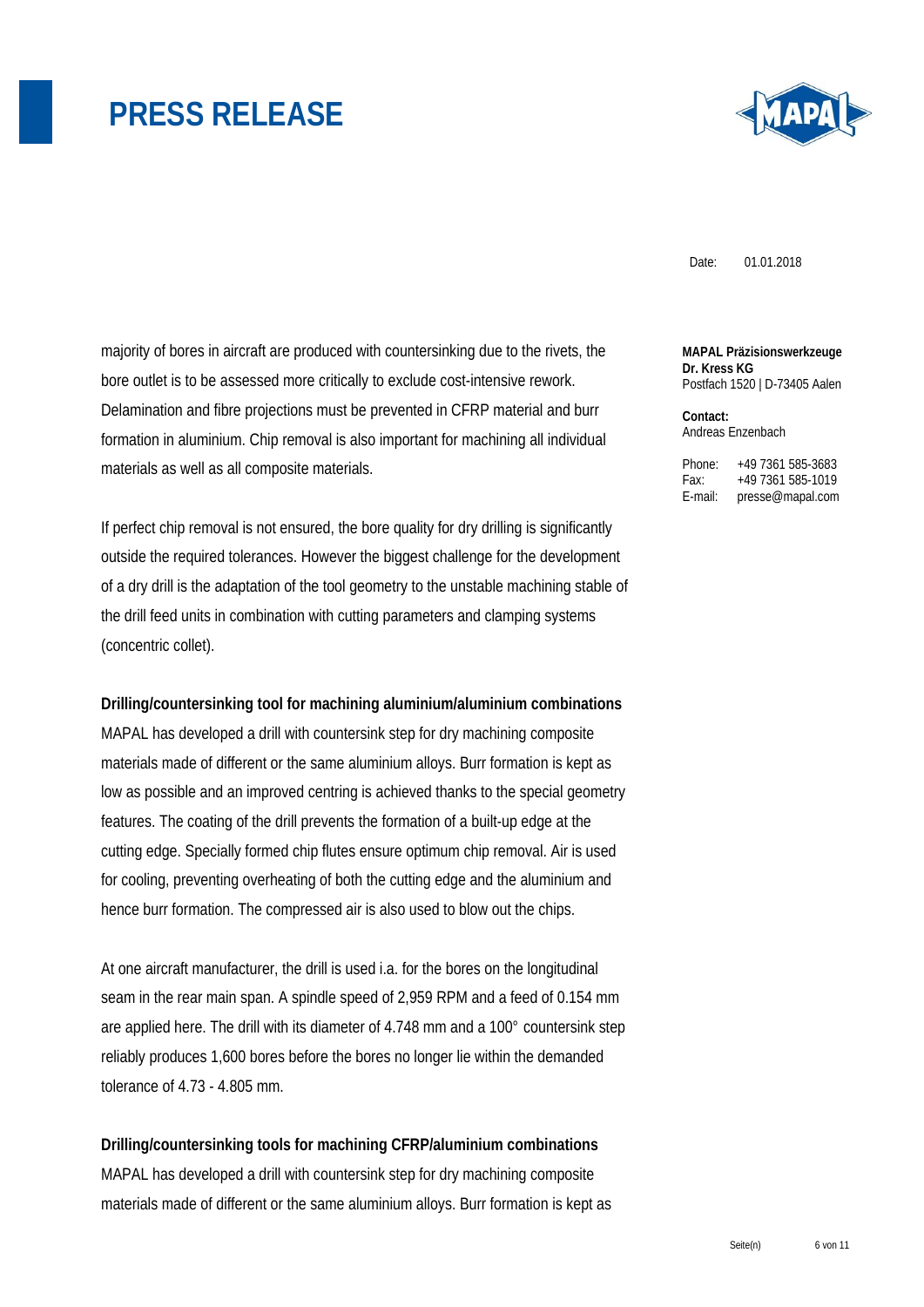

Date: 01.01.2018

majority of bores in aircraft are produced with countersinking due to the rivets, the bore outlet is to be assessed more critically to exclude cost-intensive rework. Delamination and fibre projections must be prevented in CFRP material and burr formation in aluminium. Chip removal is also important for machining all individual materials as well as all composite materials.

If perfect chip removal is not ensured, the bore quality for dry drilling is significantly outside the required tolerances. However the biggest challenge for the development of a dry drill is the adaptation of the tool geometry to the unstable machining stable of the drill feed units in combination with cutting parameters and clamping systems (concentric collet).

**Drilling/countersinking tool for machining aluminium/aluminium combinations** 

MAPAL has developed a drill with countersink step for dry machining composite materials made of different or the same aluminium alloys. Burr formation is kept as low as possible and an improved centring is achieved thanks to the special geometry features. The coating of the drill prevents the formation of a built-up edge at the cutting edge. Specially formed chip flutes ensure optimum chip removal. Air is used for cooling, preventing overheating of both the cutting edge and the aluminium and hence burr formation. The compressed air is also used to blow out the chips.

At one aircraft manufacturer, the drill is used i.a. for the bores on the longitudinal seam in the rear main span. A spindle speed of 2,959 RPM and a feed of 0.154 mm are applied here. The drill with its diameter of 4.748 mm and a 100° countersink step reliably produces 1,600 bores before the bores no longer lie within the demanded tolerance of 4.73 - 4.805 mm.

**Drilling/countersinking tools for machining CFRP/aluminium combinations**  MAPAL has developed a drill with countersink step for dry machining composite materials made of different or the same aluminium alloys. Burr formation is kept as **MAPAL Präzisionswerkzeuge Dr. Kress KG**  Postfach 1520 | D-73405 Aalen

**Contact:**  Andreas Enzenbach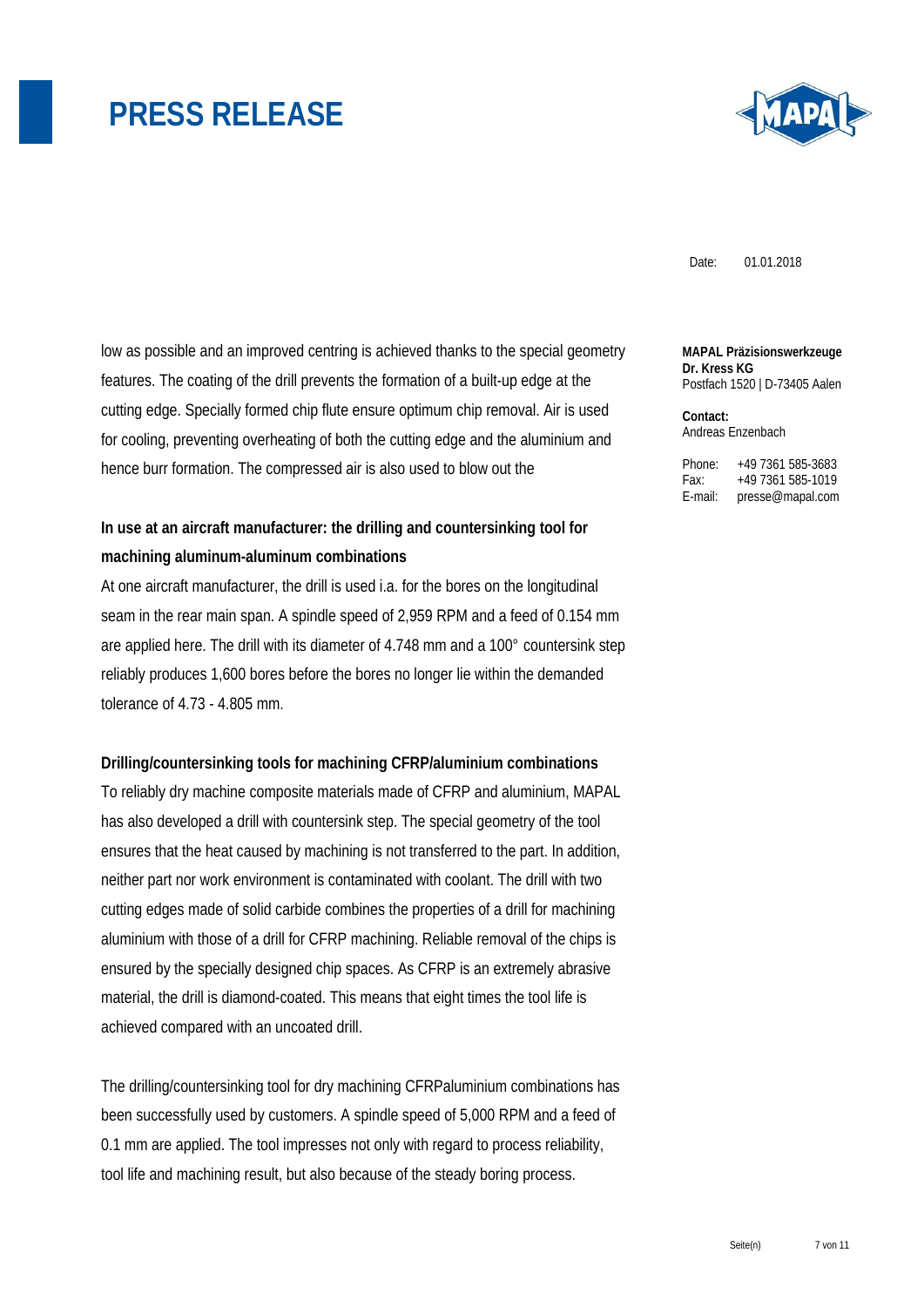

Date: 01.01.2018

low as possible and an improved centring is achieved thanks to the special geometry features. The coating of the drill prevents the formation of a built-up edge at the cutting edge. Specially formed chip flute ensure optimum chip removal. Air is used for cooling, preventing overheating of both the cutting edge and the aluminium and hence burr formation. The compressed air is also used to blow out the

### **In use at an aircraft manufacturer: the drilling and countersinking tool for machining aluminum-aluminum combinations**

At one aircraft manufacturer, the drill is used i.a. for the bores on the longitudinal seam in the rear main span. A spindle speed of 2,959 RPM and a feed of 0.154 mm are applied here. The drill with its diameter of 4.748 mm and a 100° countersink step reliably produces 1,600 bores before the bores no longer lie within the demanded tolerance of 4.73 - 4.805 mm.

#### **Drilling/countersinking tools for machining CFRP/aluminium combinations**

To reliably dry machine composite materials made of CFRP and aluminium, MAPAL has also developed a drill with countersink step. The special geometry of the tool ensures that the heat caused by machining is not transferred to the part. In addition, neither part nor work environment is contaminated with coolant. The drill with two cutting edges made of solid carbide combines the properties of a drill for machining aluminium with those of a drill for CFRP machining. Reliable removal of the chips is ensured by the specially designed chip spaces. As CFRP is an extremely abrasive material, the drill is diamond-coated. This means that eight times the tool life is achieved compared with an uncoated drill.

The drilling/countersinking tool for dry machining CFRPaluminium combinations has been successfully used by customers. A spindle speed of 5,000 RPM and a feed of 0.1 mm are applied. The tool impresses not only with regard to process reliability, tool life and machining result, but also because of the steady boring process.

**MAPAL Präzisionswerkzeuge Dr. Kress KG**  Postfach 1520 | D-73405 Aalen

**Contact:**  Andreas Enzenbach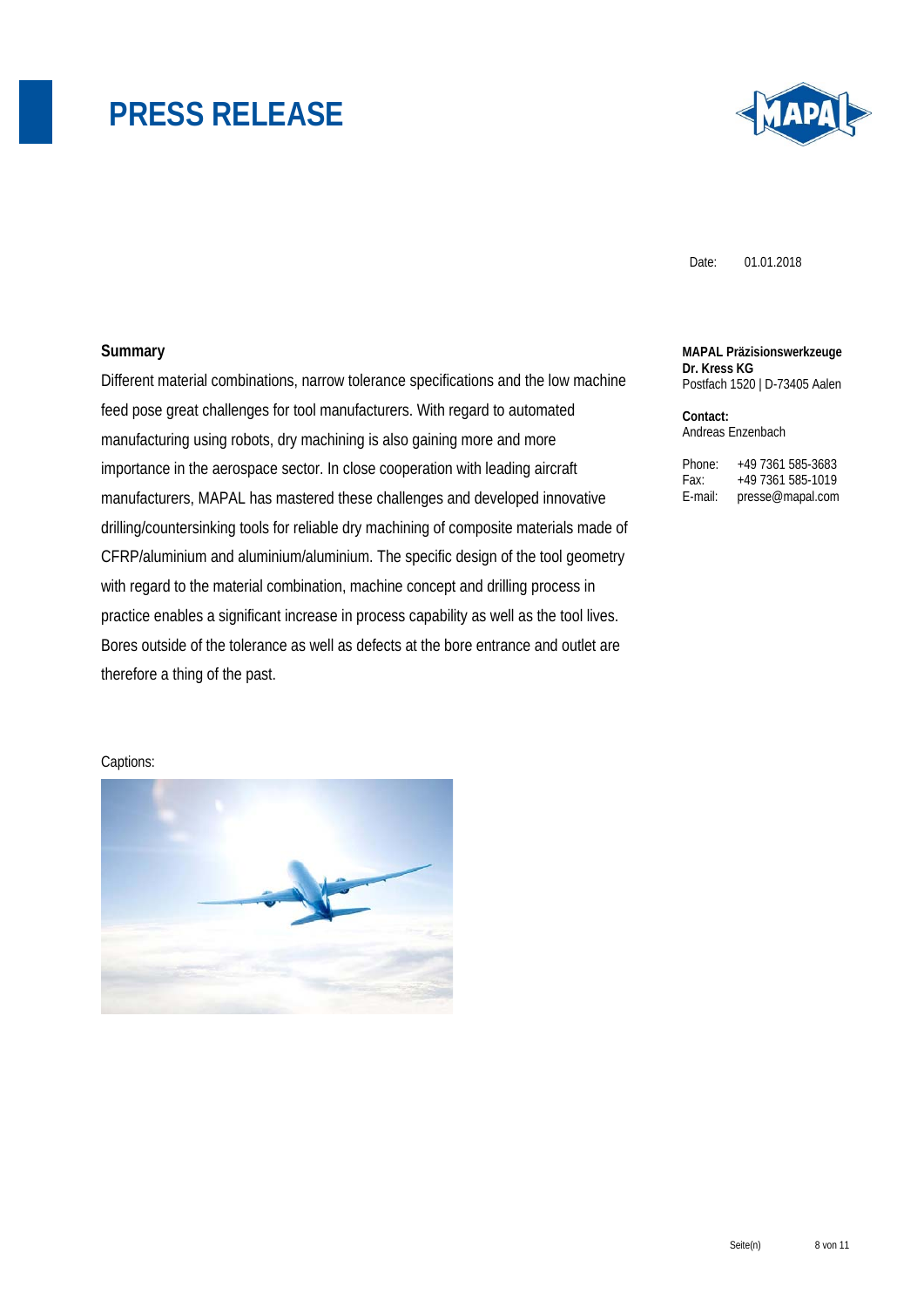

Date: 01.01.2018

### **Summary**

Different material combinations, narrow tolerance specifications and the low machine feed pose great challenges for tool manufacturers. With regard to automated manufacturing using robots, dry machining is also gaining more and more importance in the aerospace sector. In close cooperation with leading aircraft manufacturers, MAPAL has mastered these challenges and developed innovative drilling/countersinking tools for reliable dry machining of composite materials made of CFRP/aluminium and aluminium/aluminium. The specific design of the tool geometry with regard to the material combination, machine concept and drilling process in practice enables a significant increase in process capability as well as the tool lives. Bores outside of the tolerance as well as defects at the bore entrance and outlet are therefore a thing of the past.

**MAPAL Präzisionswerkzeuge Dr. Kress KG**  Postfach 1520 | D-73405 Aalen

**Contact:**  Andreas Enzenbach

Phone: +49 7361 585-3683 Fax: +49 7361 585-1019 E-mail: presse@mapal.com

Captions:

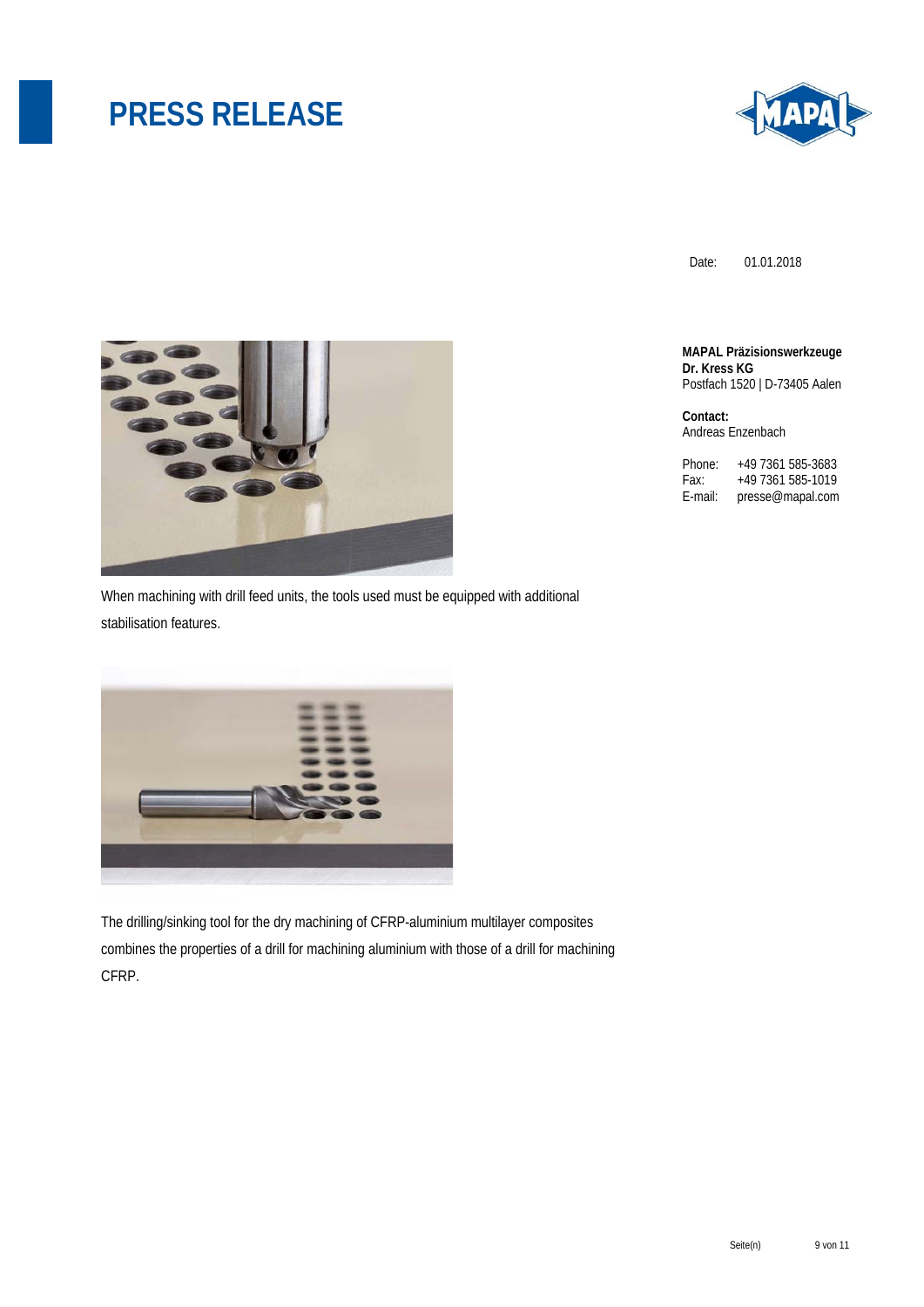

Date: 01.01.2018

**MAPAL Präzisionswerkzeuge Dr. Kress KG**  Postfach 1520 | D-73405 Aalen

**Contact:**  Andreas Enzenbach

Phone: +49 7361 585-3683<br>Fax: +49 7361 585-1019 Fax: +49 7361 585-1019 E-mail: presse@mapal.com



When machining with drill feed units, the tools used must be equipped with additional stabilisation features.



The drilling/sinking tool for the dry machining of CFRP-aluminium multilayer composites combines the properties of a drill for machining aluminium with those of a drill for machining CFRP.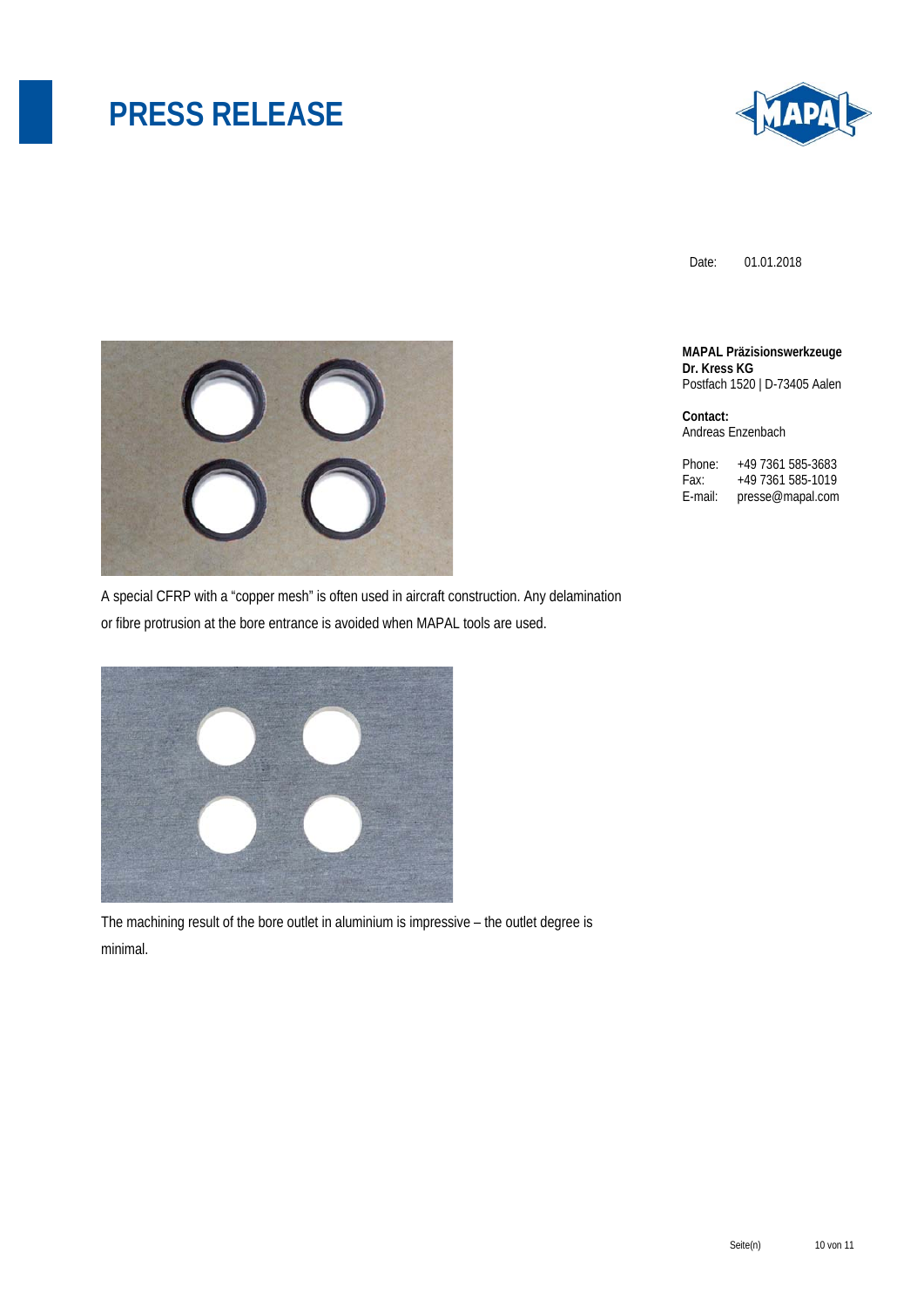

Date: 01.01.2018

**MAPAL Präzisionswerkzeuge Dr. Kress KG**  Postfach 1520 | D-73405 Aalen

**Contact:**  Andreas Enzenbach

Phone: +49 7361 585-3683<br>Fax: +49 7361 585-1019 Fax: +49 7361 585-1019<br>E-mail: presse@mapal.com presse@mapal.com



A special CFRP with a "copper mesh" is often used in aircraft construction. Any delamination or fibre protrusion at the bore entrance is avoided when MAPAL tools are used.



The machining result of the bore outlet in aluminium is impressive – the outlet degree is minimal.